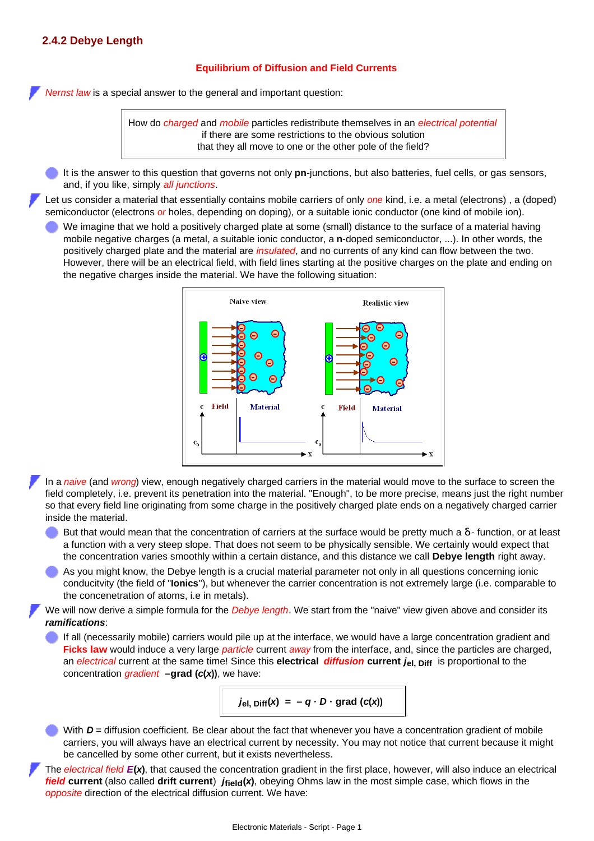## **2.4.2 Debye Length**

## **Equilibrium of Diffusion and Field Currents**

*Nernst law* is a special answer to the general and important question:

How do *charged* and *mobile* particles redistribute themselves in an *electrical potential* if there are some restrictions to the obvious solution that they all move to one or the other pole of the field?

It is the answer to this question that governs not only **pn**-junctions, but also batteries, fuel cells, or gas sensors, and, if you like, simply *all junctions*.

Let us consider a material that essentially contains mobile carriers of only *one* kind, i.e. a metal (electrons) , a (doped) semiconductor (electrons *or* holes, depending on doping), or a suitable ionic conductor (one kind of mobile ion).

We imagine that we hold a positively charged plate at some (small) distance to the surface of a material having mobile negative charges (a metal, a suitable ionic conductor, a **n**-doped semiconductor, ...). In other words, the positively charged plate and the material are *insulated*, and no currents of any kind can flow between the two. However, there will be an electrical field, with field lines starting at the positive charges on the plate and ending on the negative charges inside the material. We have the following situation:



In a *naive* (and *wrong*) view, enough negatively charged carriers in the material would move to the surface to screen the field completely, i.e. prevent its penetration into the material. "Enough", to be more precise, means just the right number so that every field line originating from some charge in the positively charged plate ends on a negatively charged carrier inside the material.

- But that would mean that the concentration of carriers at the surface would be pretty much a **δ** function, or at least a function with a very steep slope. That does not seem to be physically sensible. We certainly would expect that the concentration varies smoothly within a certain distance, and this distance we call **Debye length** right away.
- As you might know, the Debye length is a crucial material parameter not only in all questions concerning ionic conducitvity (the field of "**Ionics**"), but whenever the carrier concentration is not extremely large (i.e. comparable to the concenetration of atoms, i.e in metals).

We will now derive a simple formula for the *Debye length*. We start from the "naive" view given above and consider its *ramifications*:

If all (necessarily mobile) carriers would pile up at the interface, we would have a large concentration gradient and **Ficks law** would induce a very large *particle* current *away* from the interface, and, since the particles are charged, an *electrical* current at the same time! Since this **electrical** *diffusion* **current** *j***el, Diff** is proportional to the concentration *gradient* **–grad (***c***(***x***))**, we have:



With  $D$  = diffusion coefficient. Be clear about the fact that whenever you have a concentration gradient of mobile carriers, you will always have an electrical current by necessity. You may not notice that current because it might be cancelled by some other current, but it exists nevertheless.

The *electrical field E***(***x***)**, that caused the concentration gradient in the first place, however, will also induce an electrical *field* current (also called drift current)  $j_{field}(x)$ , obeying Ohms law in the most simple case, which flows in the *opposite* direction of the electrical diffusion current. We have: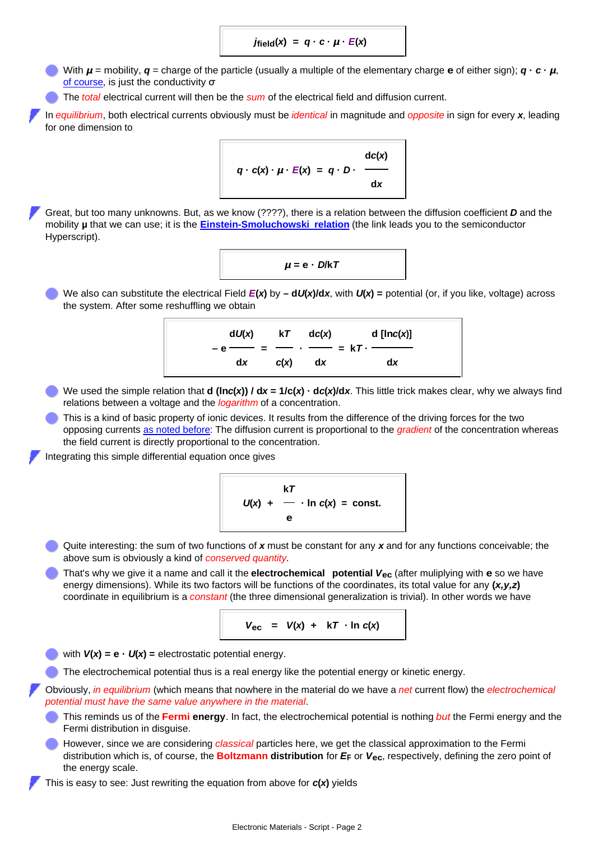$j_{\text{field}}(x) = q \cdot c \cdot \mu \cdot E(x)$ 

With  $\mu$  = mobility,  $\boldsymbol{q}$  = charge of the particle (usually a multiple of the elementary charge **e** of either sign);  $\boldsymbol{q} \cdot \boldsymbol{c} \cdot \boldsymbol{\mu}$ , [of course](http://www.tf.uni-kiel.de/matwis/amat/elmat_en/kap_1/backbone/r1_3_2.html#_6), is just the conductivity **σ**

The *total* electrical current will then be the *sum* of the electrical field and diffusion current.

In *equilibrium*, both electrical currents obviously must be *identical* in magnitude and *opposite* in sign for every *x*, leading for one dimension to

$$
q \cdot c(x) \cdot \mu \cdot E(x) = q \cdot D \cdot \frac{dc(x)}{dx}
$$

Great, but too many unknowns. But, as we know (????), there is a relation between the diffusion coefficient *D* and the mobility **µ** that we can use; it is the **[Einstein-Smoluchowski relation](http://www.tf.uni-kiel.de/matwis/amat/semi_en/kap_2/backbone/r2_3_4.html)** (the link leads you to the semiconductor Hyperscript).

$$
\mu = e \cdot D/kT
$$

We also can substitute the electrical Field *E***(***x***)** by **– d***U***(***x***)/d***x*, with *U***(***x***) =** potential (or, if you like, voltage) across the system. After some reshuffling we obtain



- We used the simple relation that **d (ln***c***(***x***)) / d***x* **= 1/c(***x***) · d***c***(***x***)/d***x*. This little trick makes clear, why we always find relations between a voltage and the *logarithm* of a concentration.
- This is a kind of basic property of ionic devices. It results from the difference of the driving forces for the two opposing currents [as noted before](http://www.tf.uni-kiel.de/matwis/amat/elmat_en/kap_2/backbone/r2_4_1.html#_1): The diffusion current is proportional to the *gradient* of the concentration whereas the field current is directly proportional to the concentration.

Integrating this simple differential equation once gives

$$
V = \frac{kT}{\log x} + \frac{1}{2} \cdot \ln c(x) = \text{const.}
$$

- Quite interesting: the sum of two functions of *x* must be constant for any *x* and for any functions conceivable; the above sum is obviously a kind of *conserved quantity*.
- That's why we give it a name and call it the **electrochemical potential** *V***ec** (after muliplying with **e** so we have energy dimensions). While its two factors will be functions of the coordinates, its total value for any **(***x,y,z***)** coordinate in equilibrium is a *constant* (the three dimensional generalization is trivial). In other words we have

$$
V_{\text{ec}} = V(x) + kT \cdot \ln c(x)
$$

with  $V(x) = e \cdot U(x) =$  electrostatic potential energy.

The electrochemical potential thus is a real energy like the potential energy or kinetic energy.

Obviously, *in equilibrium* (which means that nowhere in the material do we have a *net* current flow) the *electrochemical potential must have the same value anywhere in the material*.

- This reminds us of the **Fermi energy**. In fact, the electrochemical potential is nothing *but* the Fermi energy and the Fermi distribution in disguise.
- However, since we are considering *classical* particles here, we get the classical approximation to the Fermi distribution which is, of course, the **Boltzmann distribution** for *E***F** or *V***ec**, respectively, defining the zero point of the energy scale.

This is easy to see: Just rewriting the equation from above for *c***(***x***)** yields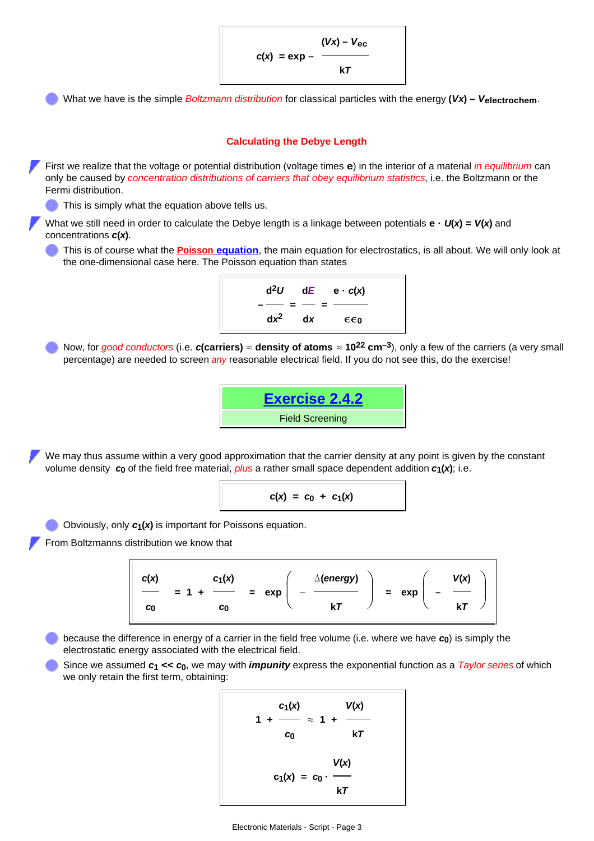$c(x) = e(x) (Vx) - V_{\text{ec}}$ **k***T*

What we have is the simple *Boltzmann distribution* for classical particles with the energy **(***Vx***) –** *V***electrochem**.



$$
c(x) = c_0 + c_1(x)
$$

Obviously, only *c***1(***x***)** is important for Poissons equation.

From Boltzmanns distribution we know that



because the difference in energy of a carrier in the field free volume (i.e. where we have *c***0**) is simply the electrostatic energy associated with the electrical field.

Since we assumed *c***1 <<** *c***0**, we may with *impunity* express the exponential function as a *Taylor series* of which we only retain the first term, obtaining:

$$
\frac{c_1(x)}{1 + \frac{c_1(x)}{c_0}} \approx 1 + \frac{V(x)}{kT}
$$
  

$$
c_1(x) = c_0 \cdot \frac{V(x)}{kT}
$$